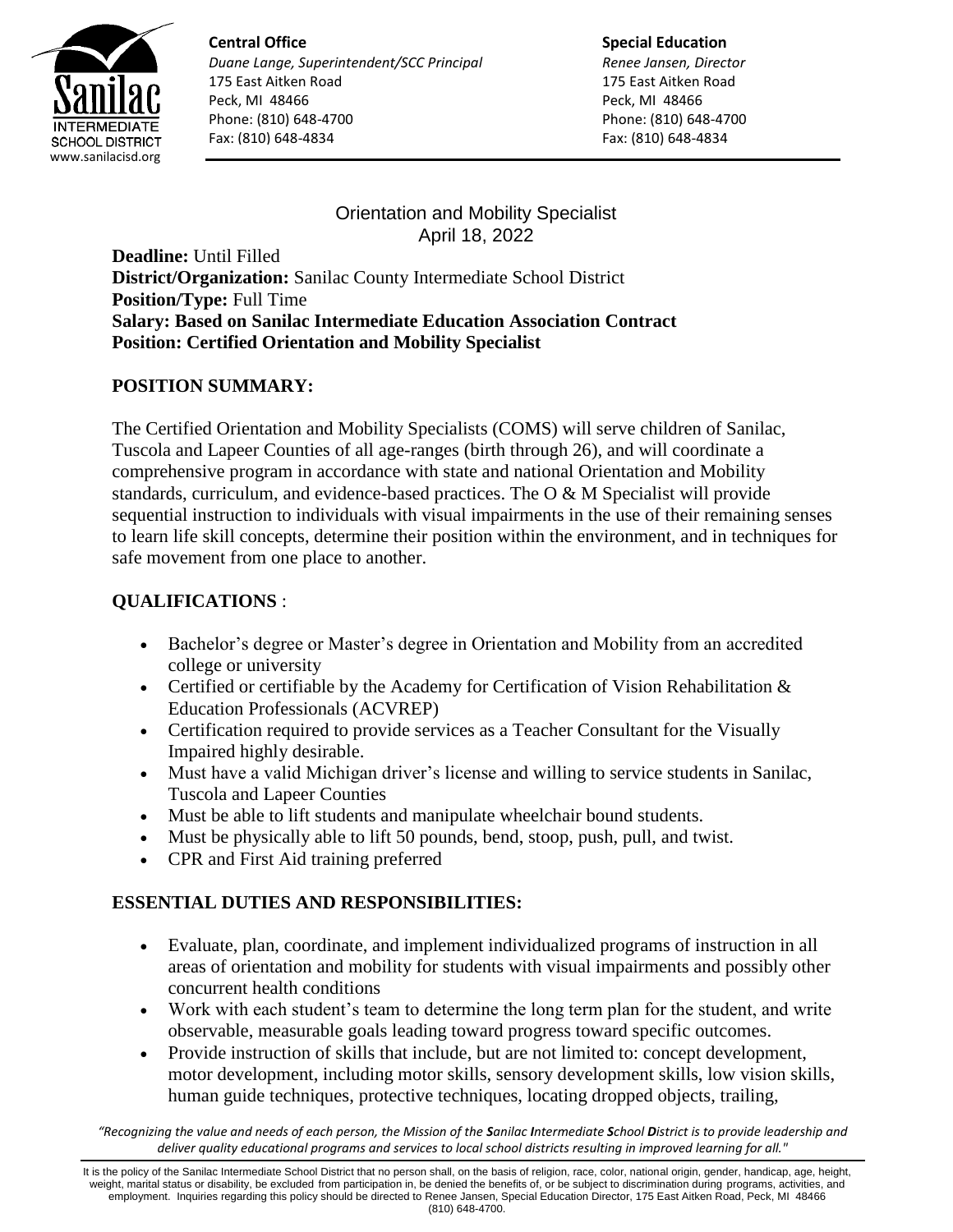

**Central Office** *Duane Lange, Superintendent/SCC Principal* 175 East Aitken Road Peck, MI 48466 Phone: (810) 648-4700 Fax: (810) 648-4834

**Special Education** *Renee Jansen, Director* 175 East Aitken Road Peck, MI 48466 Phone: (810) 648-4700 Fax: (810) 648-4834

Orientation and Mobility Specialist April 18, 2022

**Deadline:** Until Filled **District/Organization:** Sanilac County Intermediate School District **Position/Type:** Full Time **Salary: Based on Sanilac Intermediate Education Association Contract Position: Certified Orientation and Mobility Specialist**

## **POSITION SUMMARY:**

The Certified Orientation and Mobility Specialists (COMS) will serve children of Sanilac, Tuscola and Lapeer Counties of all age-ranges (birth through 26), and will coordinate a comprehensive program in accordance with state and national Orientation and Mobility standards, curriculum, and evidence-based practices. The O & M Specialist will provide sequential instruction to individuals with visual impairments in the use of their remaining senses to learn life skill concepts, determine their position within the environment, and in techniques for safe movement from one place to another.

# **QUALIFICATIONS** :

- Bachelor's degree or Master's degree in Orientation and Mobility from an accredited college or university
- Certified or certifiable by the Academy for Certification of Vision Rehabilitation  $\&$ Education Professionals (ACVREP)
- Certification required to provide services as a Teacher Consultant for the Visually Impaired highly desirable.
- Must have a valid Michigan driver's license and willing to service students in Sanilac, Tuscola and Lapeer Counties
- Must be able to lift students and manipulate wheelchair bound students.
- Must be physically able to lift 50 pounds, bend, stoop, push, pull, and twist.
- CPR and First Aid training preferred

## **ESSENTIAL DUTIES AND RESPONSIBILITIES:**

- Evaluate, plan, coordinate, and implement individualized programs of instruction in all areas of orientation and mobility for students with visual impairments and possibly other concurrent health conditions
- Work with each student's team to determine the long term plan for the student, and write observable, measurable goals leading toward progress toward specific outcomes.
- Provide instruction of skills that include, but are not limited to: concept development, motor development, including motor skills, sensory development skills, low vision skills, human guide techniques, protective techniques, locating dropped objects, trailing,

*"Recognizing the value and needs of each person, the Mission of the Sanilac Intermediate School District is to provide leadership and deliver quality educational programs and services to local school districts resulting in improved learning for all."*

It is the policy of the Sanilac Intermediate School District that no person shall, on the basis of religion, race, color, national origin, gender, handicap, age, height, weight, marital status or disability, be excluded from participation in, be denied the benefits of, or be subject to discrimination during programs, activities, and employment. Inquiries regarding this policy should be directed to Renee Jansen, Special Education Director, 175 East Aitken Road, Peck, MI 48466 (810) 648-4700.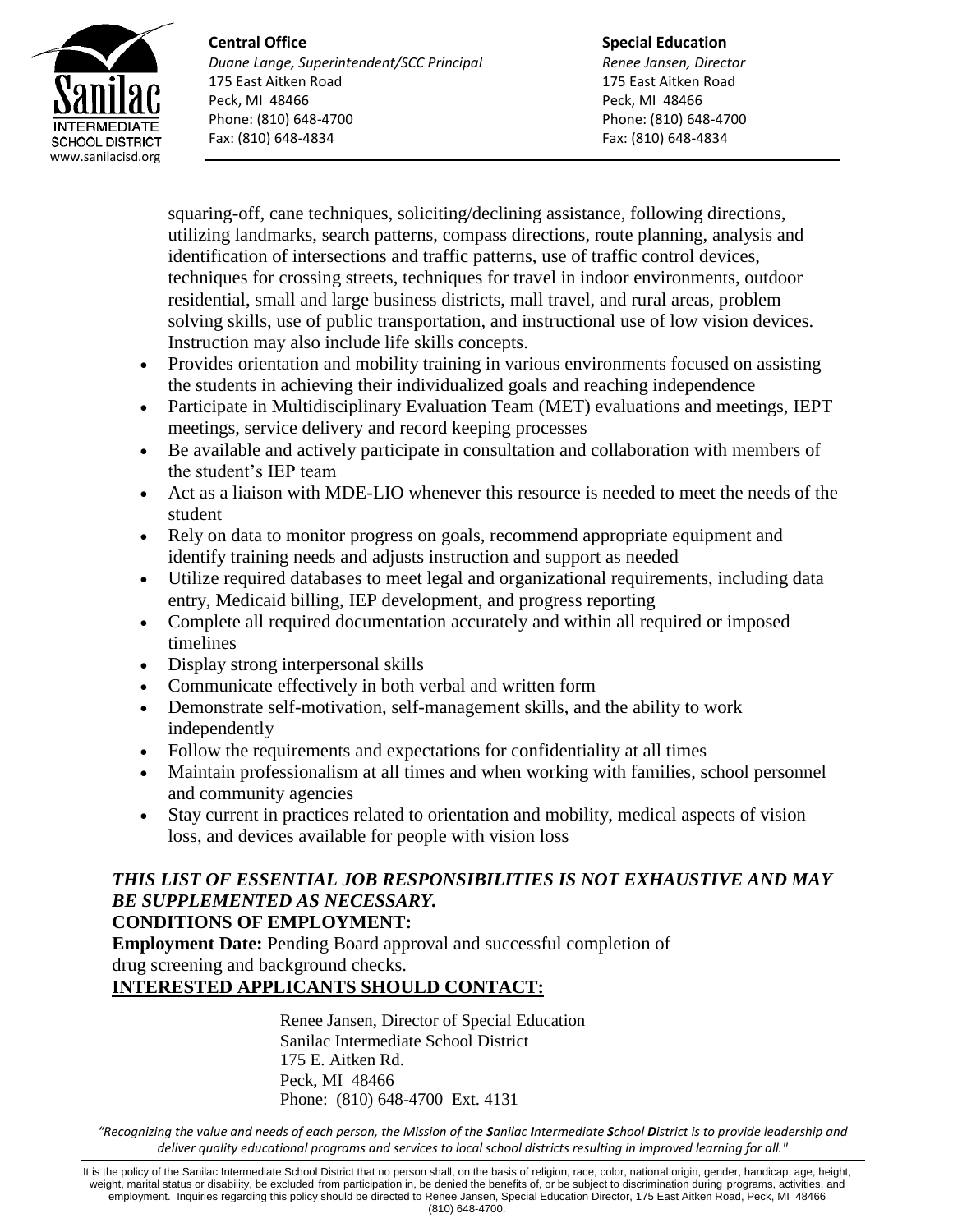

**Central Office** *Duane Lange, Superintendent/SCC Principal* 175 East Aitken Road Peck, MI 48466 Phone: (810) 648-4700 Fax: (810) 648-4834

**Special Education** *Renee Jansen, Director* 175 East Aitken Road Peck, MI 48466 Phone: (810) 648-4700 Fax: (810) 648-4834

squaring-off, cane techniques, soliciting/declining assistance, following directions, utilizing landmarks, search patterns, compass directions, route planning, analysis and identification of intersections and traffic patterns, use of traffic control devices, techniques for crossing streets, techniques for travel in indoor environments, outdoor residential, small and large business districts, mall travel, and rural areas, problem solving skills, use of public transportation, and instructional use of low vision devices. Instruction may also include life skills concepts.

- Provides orientation and mobility training in various environments focused on assisting the students in achieving their individualized goals and reaching independence
- Participate in Multidisciplinary Evaluation Team (MET) evaluations and meetings, IEPT meetings, service delivery and record keeping processes
- Be available and actively participate in consultation and collaboration with members of the student's IEP team
- Act as a liaison with MDE-LIO whenever this resource is needed to meet the needs of the student
- Rely on data to monitor progress on goals, recommend appropriate equipment and identify training needs and adjusts instruction and support as needed
- Utilize required databases to meet legal and organizational requirements, including data entry, Medicaid billing, IEP development, and progress reporting
- Complete all required documentation accurately and within all required or imposed timelines
- Display strong interpersonal skills
- Communicate effectively in both verbal and written form
- Demonstrate self-motivation, self-management skills, and the ability to work independently
- Follow the requirements and expectations for confidentiality at all times
- Maintain professionalism at all times and when working with families, school personnel and community agencies
- Stay current in practices related to orientation and mobility, medical aspects of vision loss, and devices available for people with vision loss

### *THIS LIST OF ESSENTIAL JOB RESPONSIBILITIES IS NOT EXHAUSTIVE AND MAY BE SUPPLEMENTED AS NECESSARY.* **CONDITIONS OF EMPLOYMENT:**

**Employment Date:** Pending Board approval and successful completion of drug screening and background checks.

## **INTERESTED APPLICANTS SHOULD CONTACT:**

Renee Jansen, Director of Special Education Sanilac Intermediate School District 175 E. Aitken Rd. Peck, MI 48466 Phone: (810) 648-4700 Ext. 4131

*"Recognizing the value and needs of each person, the Mission of the Sanilac Intermediate School District is to provide leadership and deliver quality educational programs and services to local school districts resulting in improved learning for all."*